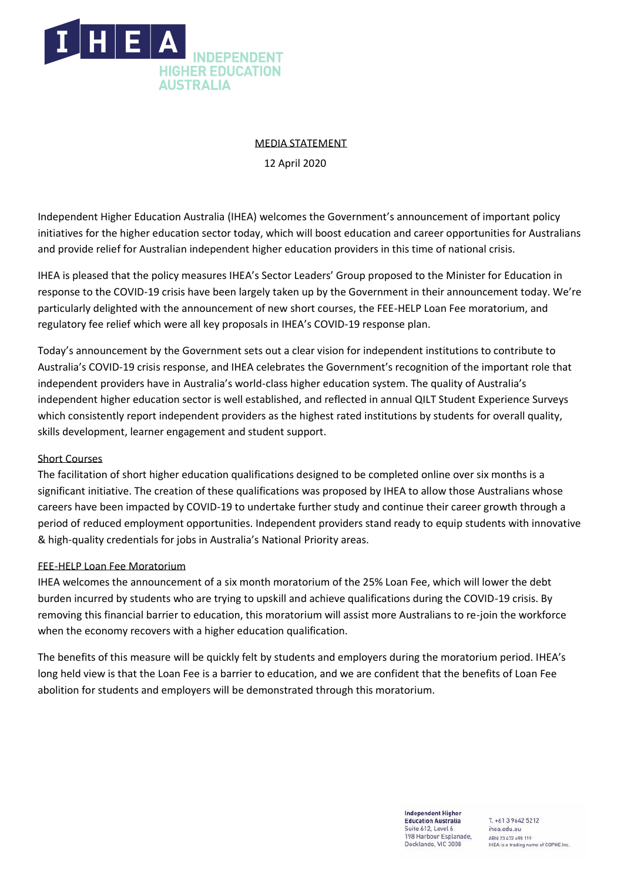

# MEDIA STATEMENT

12 April 2020

Independent Higher Education Australia (IHEA) welcomes the Government's announcement of important policy initiatives for the higher education sector today, which will boost education and career opportunities for Australians and provide relief for Australian independent higher education providers in this time of national crisis.

IHEA is pleased that the policy measures IHEA's Sector Leaders' Group proposed to the Minister for Education in response to the COVID-19 crisis have been largely taken up by the Government in their announcement today. We're particularly delighted with the announcement of new short courses, the FEE-HELP Loan Fee moratorium, and regulatory fee relief which were all key proposals in IHEA's COVID-19 response plan.

Today's announcement by the Government sets out a clear vision for independent institutions to contribute to Australia's COVID-19 crisis response, and IHEA celebrates the Government's recognition of the important role that independent providers have in Australia's world-class higher education system. The quality of Australia's independent higher education sector is well established, and reflected in annual QILT Student Experience Surveys which consistently report independent providers as the highest rated institutions by students for overall quality, skills development, learner engagement and student support.

## Short Courses

The facilitation of short higher education qualifications designed to be completed online over six months is a significant initiative. The creation of these qualifications was proposed by IHEA to allow those Australians whose careers have been impacted by COVID-19 to undertake further study and continue their career growth through a period of reduced employment opportunities. Independent providers stand ready to equip students with innovative & high-quality credentials for jobs in Australia's National Priority areas.

## FEE-HELP Loan Fee Moratorium

IHEA welcomes the announcement of a six month moratorium of the 25% Loan Fee, which will lower the debt burden incurred by students who are trying to upskill and achieve qualifications during the COVID-19 crisis. By removing this financial barrier to education, this moratorium will assist more Australians to re-join the workforce when the economy recovers with a higher education qualification.

The benefits of this measure will be quickly felt by students and employers during the moratorium period. IHEA's long held view is that the Loan Fee is a barrier to education, and we are confident that the benefits of Loan Fee abolition for students and employers will be demonstrated through this moratorium.

> **Independent Higher Education Australia** Suite 612, Level 6 198 Harbour Esplanade, Docklands, VIC 3008

T. +61 3 9642 5212 ihea.edu.au ABN 23 472 698 119 IHEA is a trading name of COPHE Inc.